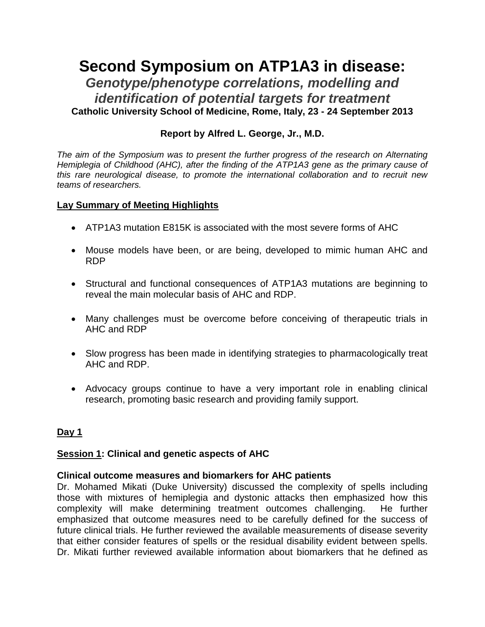# **Second Symposium on ATP1A3 in disease:**  *Genotype/phenotype correlations, modelling and identification of potential targets for treatment* **Catholic University School of Medicine, Rome, Italy, 23 - 24 September 2013**

# **Report by Alfred L. George, Jr., M.D.**

*The aim of the Symposium was to present the further progress of the research on Alternating Hemiplegia of Childhood (AHC), after the finding of the ATP1A3 gene as the primary cause of this rare neurological disease, to promote the international collaboration and to recruit new teams of researchers.*

## **Lay Summary of Meeting Highlights**

- ATP1A3 mutation E815K is associated with the most severe forms of AHC
- Mouse models have been, or are being, developed to mimic human AHC and RDP
- Structural and functional consequences of ATP1A3 mutations are beginning to reveal the main molecular basis of AHC and RDP.
- Many challenges must be overcome before conceiving of therapeutic trials in AHC and RDP
- Slow progress has been made in identifying strategies to pharmacologically treat AHC and RDP.
- Advocacy groups continue to have a very important role in enabling clinical research, promoting basic research and providing family support.

# **Day 1**

# **Session 1: Clinical and genetic aspects of AHC**

#### **Clinical outcome measures and biomarkers for AHC patients**

Dr. Mohamed Mikati (Duke University) discussed the complexity of spells including those with mixtures of hemiplegia and dystonic attacks then emphasized how this complexity will make determining treatment outcomes challenging. He further emphasized that outcome measures need to be carefully defined for the success of future clinical trials. He further reviewed the available measurements of disease severity that either consider features of spells or the residual disability evident between spells. Dr. Mikati further reviewed available information about biomarkers that he defined as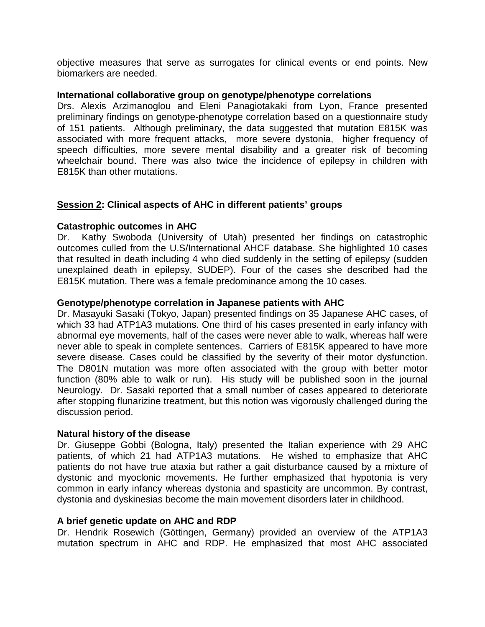objective measures that serve as surrogates for clinical events or end points. New biomarkers are needed.

## **International collaborative group on genotype/phenotype correlations**

Drs. Alexis Arzimanoglou and Eleni Panagiotakaki from Lyon, France presented preliminary findings on genotype-phenotype correlation based on a questionnaire study of 151 patients. Although preliminary, the data suggested that mutation E815K was associated with more frequent attacks, more severe dystonia, higher frequency of speech difficulties, more severe mental disability and a greater risk of becoming wheelchair bound. There was also twice the incidence of epilepsy in children with E815K than other mutations.

# **Session 2: Clinical aspects of AHC in different patients' groups**

## **Catastrophic outcomes in AHC**

Dr. Kathy Swoboda (University of Utah) presented her findings on catastrophic outcomes culled from the U.S/International AHCF database. She highlighted 10 cases that resulted in death including 4 who died suddenly in the setting of epilepsy (sudden unexplained death in epilepsy, SUDEP). Four of the cases she described had the E815K mutation. There was a female predominance among the 10 cases.

## **Genotype/phenotype correlation in Japanese patients with AHC**

Dr. Masayuki Sasaki (Tokyo, Japan) presented findings on 35 Japanese AHC cases, of which 33 had ATP1A3 mutations. One third of his cases presented in early infancy with abnormal eye movements, half of the cases were never able to walk, whereas half were never able to speak in complete sentences. Carriers of E815K appeared to have more severe disease. Cases could be classified by the severity of their motor dysfunction. The D801N mutation was more often associated with the group with better motor function (80% able to walk or run). His study will be published soon in the journal Neurology. Dr. Sasaki reported that a small number of cases appeared to deteriorate after stopping flunarizine treatment, but this notion was vigorously challenged during the discussion period.

#### **Natural history of the disease**

Dr. Giuseppe Gobbi (Bologna, Italy) presented the Italian experience with 29 AHC patients, of which 21 had ATP1A3 mutations. He wished to emphasize that AHC patients do not have true ataxia but rather a gait disturbance caused by a mixture of dystonic and myoclonic movements. He further emphasized that hypotonia is very common in early infancy whereas dystonia and spasticity are uncommon. By contrast, dystonia and dyskinesias become the main movement disorders later in childhood.

#### **A brief genetic update on AHC and RDP**

Dr. Hendrik Rosewich (Göttingen, Germany) provided an overview of the ATP1A3 mutation spectrum in AHC and RDP. He emphasized that most AHC associated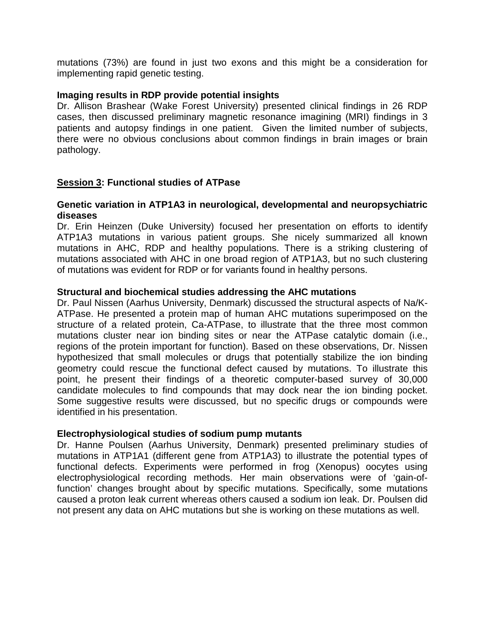mutations (73%) are found in just two exons and this might be a consideration for implementing rapid genetic testing.

## **Imaging results in RDP provide potential insights**

Dr. Allison Brashear (Wake Forest University) presented clinical findings in 26 RDP cases, then discussed preliminary magnetic resonance imagining (MRI) findings in 3 patients and autopsy findings in one patient. Given the limited number of subjects, there were no obvious conclusions about common findings in brain images or brain pathology.

# **Session 3: Functional studies of ATPase**

## **Genetic variation in ATP1A3 in neurological, developmental and neuropsychiatric diseases**

Dr. Erin Heinzen (Duke University) focused her presentation on efforts to identify ATP1A3 mutations in various patient groups. She nicely summarized all known mutations in AHC, RDP and healthy populations. There is a striking clustering of mutations associated with AHC in one broad region of ATP1A3, but no such clustering of mutations was evident for RDP or for variants found in healthy persons.

## **Structural and biochemical studies addressing the AHC mutations**

Dr. Paul Nissen (Aarhus University, Denmark) discussed the structural aspects of Na/K-ATPase. He presented a protein map of human AHC mutations superimposed on the structure of a related protein, Ca-ATPase, to illustrate that the three most common mutations cluster near ion binding sites or near the ATPase catalytic domain (i.e., regions of the protein important for function). Based on these observations, Dr. Nissen hypothesized that small molecules or drugs that potentially stabilize the ion binding geometry could rescue the functional defect caused by mutations. To illustrate this point, he present their findings of a theoretic computer-based survey of 30,000 candidate molecules to find compounds that may dock near the ion binding pocket. Some suggestive results were discussed, but no specific drugs or compounds were identified in his presentation.

# **Electrophysiological studies of sodium pump mutants**

Dr. Hanne Poulsen (Aarhus University, Denmark) presented preliminary studies of mutations in ATP1A1 (different gene from ATP1A3) to illustrate the potential types of functional defects. Experiments were performed in frog (Xenopus) oocytes using electrophysiological recording methods. Her main observations were of 'gain-offunction' changes brought about by specific mutations. Specifically, some mutations caused a proton leak current whereas others caused a sodium ion leak. Dr. Poulsen did not present any data on AHC mutations but she is working on these mutations as well.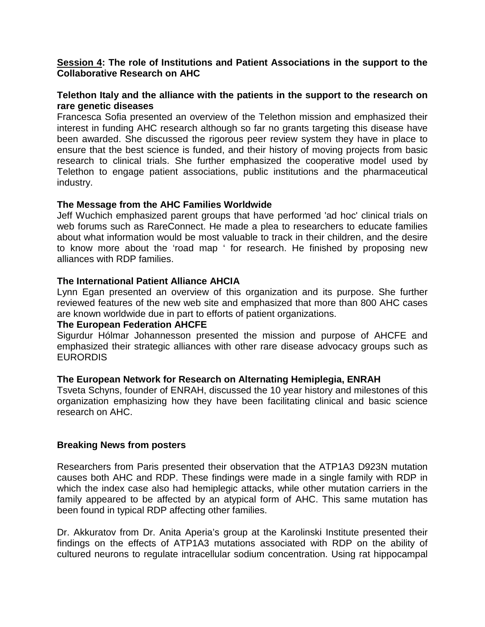## **Session 4: The role of Institutions and Patient Associations in the support to the Collaborative Research on AHC**

## **Telethon Italy and the alliance with the patients in the support to the research on rare genetic diseases**

Francesca Sofia presented an overview of the Telethon mission and emphasized their interest in funding AHC research although so far no grants targeting this disease have been awarded. She discussed the rigorous peer review system they have in place to ensure that the best science is funded, and their history of moving projects from basic research to clinical trials. She further emphasized the cooperative model used by Telethon to engage patient associations, public institutions and the pharmaceutical industry.

#### **The Message from the AHC Families Worldwide**

Jeff Wuchich emphasized parent groups that have performed 'ad hoc' clinical trials on web forums such as RareConnect. He made a plea to researchers to educate families about what information would be most valuable to track in their children, and the desire to know more about the 'road map ' for research. He finished by proposing new alliances with RDP families.

## **The International Patient Alliance AHCIA**

Lynn Egan presented an overview of this organization and its purpose. She further reviewed features of the new web site and emphasized that more than 800 AHC cases are known worldwide due in part to efforts of patient organizations.

#### **The European Federation AHCFE**

Sigurdur Hólmar Johannesson presented the mission and purpose of AHCFE and emphasized their strategic alliances with other rare disease advocacy groups such as **EURORDIS** 

#### **The European Network for Research on Alternating Hemiplegia, ENRAH**

Tsveta Schyns, founder of ENRAH, discussed the 10 year history and milestones of this organization emphasizing how they have been facilitating clinical and basic science research on AHC.

#### **Breaking News from posters**

Researchers from Paris presented their observation that the ATP1A3 D923N mutation causes both AHC and RDP. These findings were made in a single family with RDP in which the index case also had hemiplegic attacks, while other mutation carriers in the family appeared to be affected by an atypical form of AHC. This same mutation has been found in typical RDP affecting other families.

Dr. Akkuratov from Dr. Anita Aperia's group at the Karolinski Institute presented their findings on the effects of ATP1A3 mutations associated with RDP on the ability of cultured neurons to regulate intracellular sodium concentration. Using rat hippocampal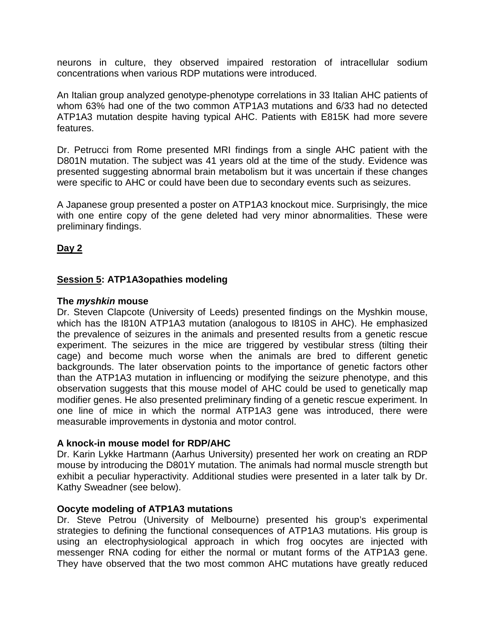neurons in culture, they observed impaired restoration of intracellular sodium concentrations when various RDP mutations were introduced.

An Italian group analyzed genotype-phenotype correlations in 33 Italian AHC patients of whom 63% had one of the two common ATP1A3 mutations and 6/33 had no detected ATP1A3 mutation despite having typical AHC. Patients with E815K had more severe features.

Dr. Petrucci from Rome presented MRI findings from a single AHC patient with the D801N mutation. The subject was 41 years old at the time of the study. Evidence was presented suggesting abnormal brain metabolism but it was uncertain if these changes were specific to AHC or could have been due to secondary events such as seizures.

A Japanese group presented a poster on ATP1A3 knockout mice. Surprisingly, the mice with one entire copy of the gene deleted had very minor abnormalities. These were preliminary findings.

# **Day 2**

# **Session 5: ATP1A3opathies modeling**

## **The** *myshkin* **mouse**

Dr. Steven Clapcote (University of Leeds) presented findings on the Myshkin mouse, which has the I810N ATP1A3 mutation (analogous to I810S in AHC). He emphasized the prevalence of seizures in the animals and presented results from a genetic rescue experiment. The seizures in the mice are triggered by vestibular stress (tilting their cage) and become much worse when the animals are bred to different genetic backgrounds. The later observation points to the importance of genetic factors other than the ATP1A3 mutation in influencing or modifying the seizure phenotype, and this observation suggests that this mouse model of AHC could be used to genetically map modifier genes. He also presented preliminary finding of a genetic rescue experiment. In one line of mice in which the normal ATP1A3 gene was introduced, there were measurable improvements in dystonia and motor control.

# **A knock-in mouse model for RDP/AHC**

Dr. Karin Lykke Hartmann (Aarhus University) presented her work on creating an RDP mouse by introducing the D801Y mutation. The animals had normal muscle strength but exhibit a peculiar hyperactivity. Additional studies were presented in a later talk by Dr. Kathy Sweadner (see below).

# **Oocyte modeling of ATP1A3 mutations**

Dr. Steve Petrou (University of Melbourne) presented his group's experimental strategies to defining the functional consequences of ATP1A3 mutations. His group is using an electrophysiological approach in which frog oocytes are injected with messenger RNA coding for either the normal or mutant forms of the ATP1A3 gene. They have observed that the two most common AHC mutations have greatly reduced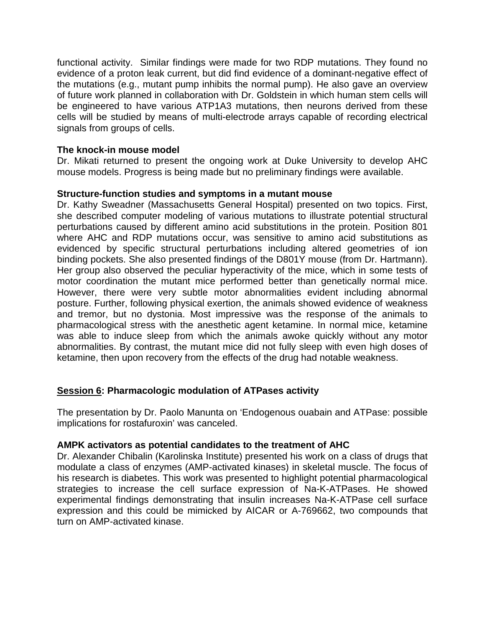functional activity. Similar findings were made for two RDP mutations. They found no evidence of a proton leak current, but did find evidence of a dominant-negative effect of the mutations (e.g., mutant pump inhibits the normal pump). He also gave an overview of future work planned in collaboration with Dr. Goldstein in which human stem cells will be engineered to have various ATP1A3 mutations, then neurons derived from these cells will be studied by means of multi-electrode arrays capable of recording electrical signals from groups of cells.

# **The knock-in mouse model**

Dr. Mikati returned to present the ongoing work at Duke University to develop AHC mouse models. Progress is being made but no preliminary findings were available.

# **Structure-function studies and symptoms in a mutant mouse**

Dr. Kathy Sweadner (Massachusetts General Hospital) presented on two topics. First, she described computer modeling of various mutations to illustrate potential structural perturbations caused by different amino acid substitutions in the protein. Position 801 where AHC and RDP mutations occur, was sensitive to amino acid substitutions as evidenced by specific structural perturbations including altered geometries of ion binding pockets. She also presented findings of the D801Y mouse (from Dr. Hartmann). Her group also observed the peculiar hyperactivity of the mice, which in some tests of motor coordination the mutant mice performed better than genetically normal mice. However, there were very subtle motor abnormalities evident including abnormal posture. Further, following physical exertion, the animals showed evidence of weakness and tremor, but no dystonia. Most impressive was the response of the animals to pharmacological stress with the anesthetic agent ketamine. In normal mice, ketamine was able to induce sleep from which the animals awoke quickly without any motor abnormalities. By contrast, the mutant mice did not fully sleep with even high doses of ketamine, then upon recovery from the effects of the drug had notable weakness.

# **Session 6: Pharmacologic modulation of ATPases activity**

The presentation by Dr. Paolo Manunta on 'Endogenous ouabain and ATPase: possible implications for rostafuroxin' was canceled.

# **AMPK activators as potential candidates to the treatment of AHC**

Dr. Alexander Chibalin (Karolinska Institute) presented his work on a class of drugs that modulate a class of enzymes (AMP-activated kinases) in skeletal muscle. The focus of his research is diabetes. This work was presented to highlight potential pharmacological strategies to increase the cell surface expression of Na-K-ATPases. He showed experimental findings demonstrating that insulin increases Na-K-ATPase cell surface expression and this could be mimicked by AICAR or A-769662, two compounds that turn on AMP-activated kinase.